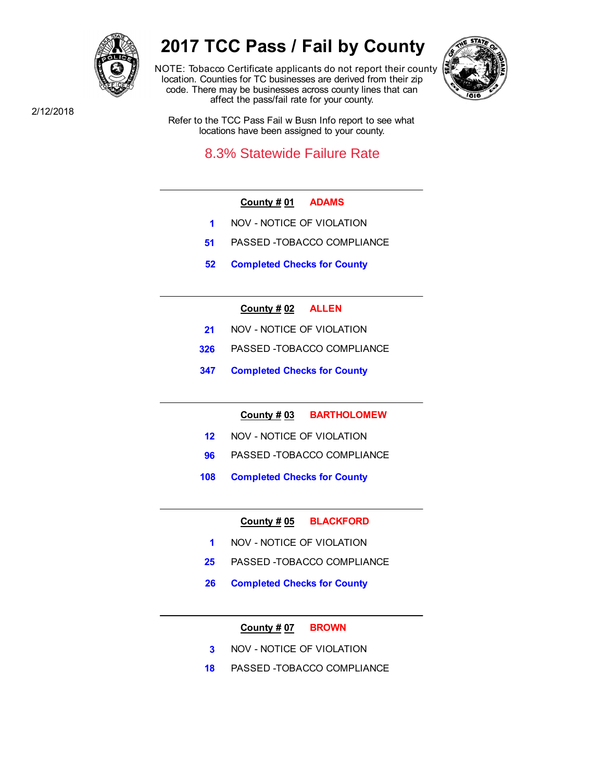

# **2017 TCC Pass / Fail by County**

NOTE: Tobacco Certificate applicants do not report their county location. Counties for TC businesses are derived from their zip code. There may be businesses across county lines that can affect the pass/fail rate for your county.



2/12/2018

Refer to the TCC Pass Fail w Busn Info report to see what locations have been assigned to your county.

## 8.3% Statewide Failure Rate

## **County # 01 ADAMS**

- **1** NOV NOTICE OF VIOLATION
- **51** PASSED -TOBACCO COMPLIANCE
- **52 Completed Checks for County**

## **County # 02 ALLEN**

- **21** NOV NOTICE OF VIOLATION
- **326** PASSED -TOBACCO COMPLIANCE
- **347 Completed Checks for County**

**County # 03 BARTHOLOMEW**

- **12** NOV NOTICE OF VIOLATION
- **96** PASSED -TOBACCO COMPLIANCE
- **108 Completed Checks for County**

**County # 05 BLACKFORD**

- **1** NOV NOTICE OF VIOLATION
- **25** PASSED -TOBACCO COMPLIANCE
- **26 Completed Checks for County**

## **County # 07 BROWN**

- **3** NOV NOTICE OF VIOLATION
- **18** PASSED -TOBACCO COMPLIANCE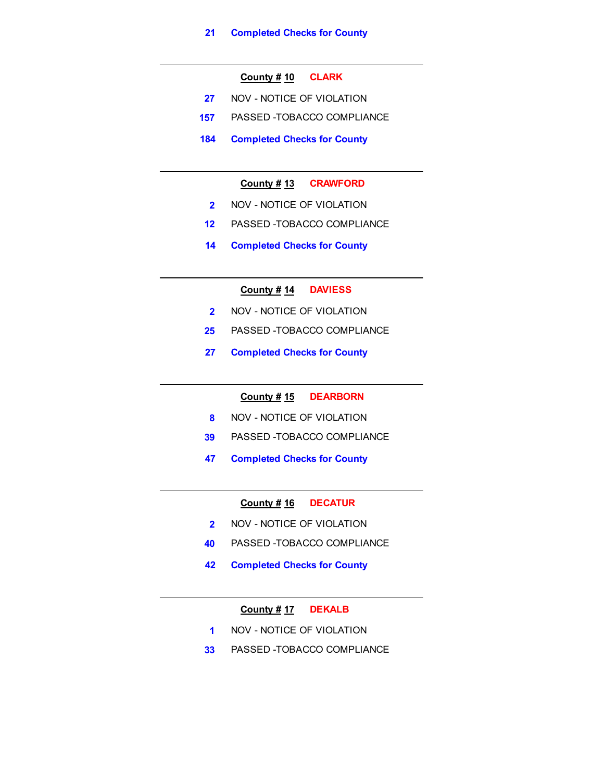## **County # 10 CLARK**

- **27** NOV NOTICE OF VIOLATION
- **157** PASSED -TOBACCO COMPLIANCE
- **184 Completed Checks for County**

## **County # 13 CRAWFORD**

- **2** NOV NOTICE OF VIOLATION
- **12** PASSED -TOBACCO COMPLIANCE
- **14 Completed Checks for County**

## **County # 14 DAVIESS**

- **2** NOV NOTICE OF VIOLATION
- **25** PASSED -TOBACCO COMPLIANCE
- **27 Completed Checks for County**

## **County # 15 DEARBORN**

- **8** NOV NOTICE OF VIOLATION
- **39** PASSED -TOBACCO COMPLIANCE
- **47 Completed Checks for County**

#### **County # 16 DECATUR**

- **2** NOV NOTICE OF VIOLATION
- **40** PASSED -TOBACCO COMPLIANCE
- **42 Completed Checks for County**

## **County # 17 DEKALB**

- **1** NOV NOTICE OF VIOLATION
- **33** PASSED -TOBACCO COMPLIANCE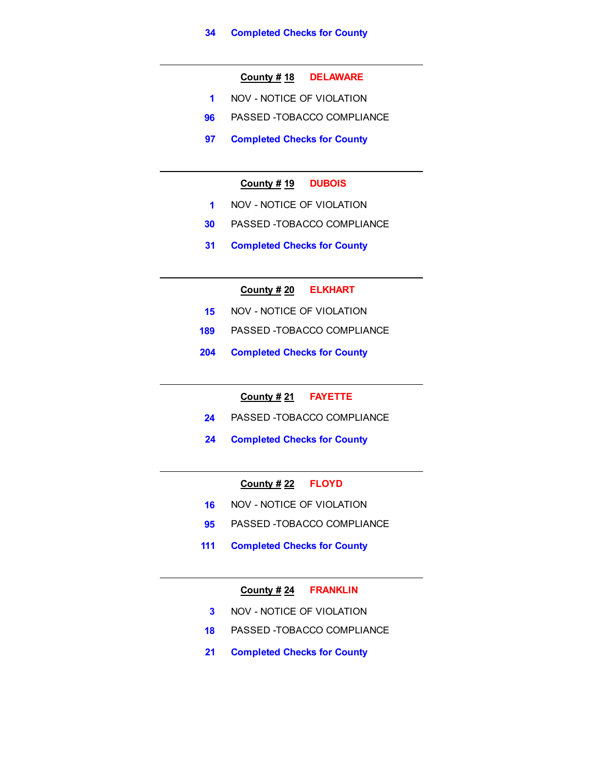## **County # 18 DELAWARE**

- **1** NOV NOTICE OF VIOLATION
- **96** PASSED -TOBACCO COMPLIANCE
- **97 Completed Checks for County**

## **County # 19 DUBOIS**

- **1** NOV NOTICE OF VIOLATION
- **30** PASSED -TOBACCO COMPLIANCE
- **31 Completed Checks for County**

## **County # 20 ELKHART**

- **15** NOV NOTICE OF VIOLATION
- **189** PASSED -TOBACCO COMPLIANCE
- **204 Completed Checks for County**

## **County # 21 FAYETTE**

- **24** PASSED -TOBACCO COMPLIANCE
- **24 Completed Checks for County**

## **County # 22 FLOYD**

- **16 NOV NOTICE OF VIOLATION**
- **95** PASSED -TOBACCO COMPLIANCE
- **111 Completed Checks for County**

## **County # 24 FRANKLIN**

- **3** NOV NOTICE OF VIOLATION
- **18** PASSED -TOBACCO COMPLIANCE
- **21 Completed Checks for County**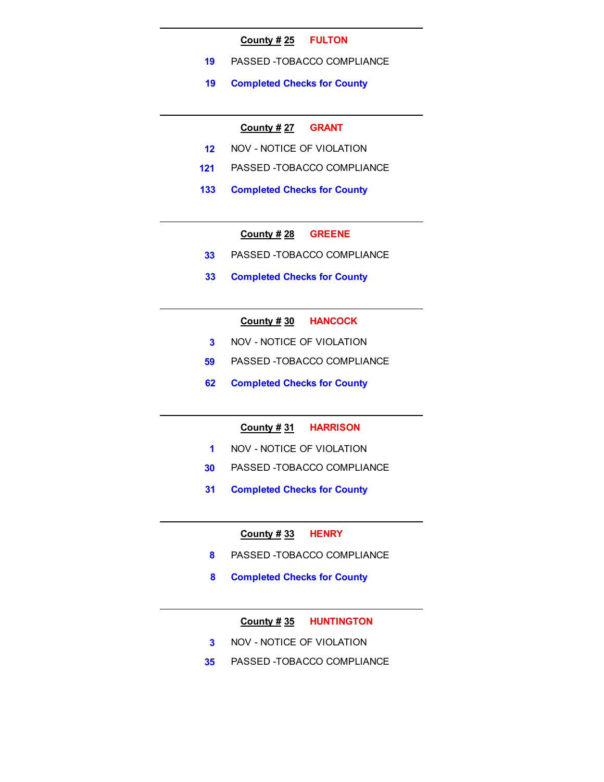#### **County # 25 FULTON**

- **19** PASSED -TOBACCO COMPLIANCE
- **19 Completed Checks for County**

#### **County # 27 GRANT**

- **12** NOV NOTICE OF VIOLATION
- **121** PASSED -TOBACCO COMPLIANCE
- **133 Completed Checks for County**

## **County # 28 GREENE**

- **33** PASSED -TOBACCO COMPLIANCE
- **33 Completed Checks for County**

## **County # 30 HANCOCK**

- **3** NOV NOTICE OF VIOLATION
- **59** PASSED -TOBACCO COMPLIANCE
- **62 Completed Checks for County**

#### **County # 31 HARRISON**

- **1** NOV NOTICE OF VIOLATION
- **30** PASSED -TOBACCO COMPLIANCE
- **31 Completed Checks for County**

#### **County # 33 HENRY**

- **8** PASSED -TOBACCO COMPLIANCE
- **8 Completed Checks for County**

#### **County # 35 HUNTINGTON**

- **3** NOV NOTICE OF VIOLATION
- **35** PASSED -TOBACCO COMPLIANCE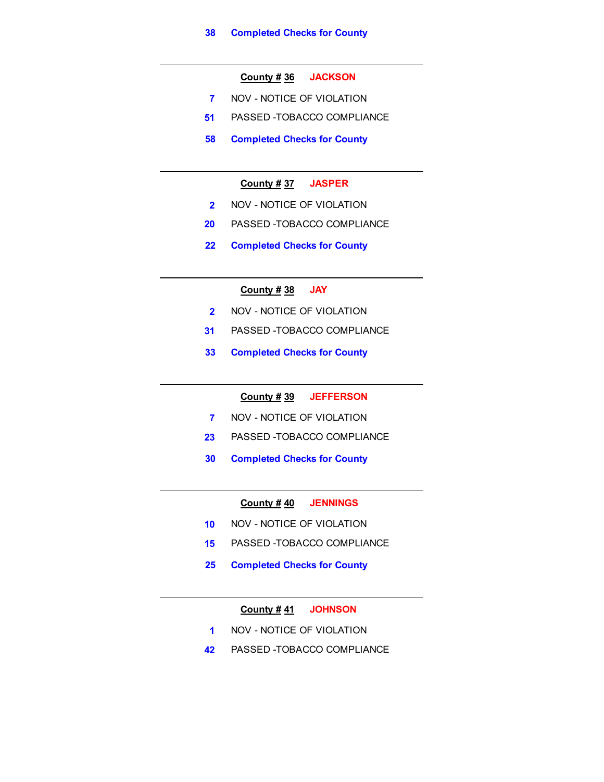## **County # 36 JACKSON**

- **7** NOV NOTICE OF VIOLATION
- **51** PASSED -TOBACCO COMPLIANCE
- **58 Completed Checks for County**

## **County # 37 JASPER**

- **2** NOV NOTICE OF VIOLATION
- **20** PASSED -TOBACCO COMPLIANCE
- **22 Completed Checks for County**

## **County # 38 JAY**

- **2** NOV NOTICE OF VIOLATION
- **31** PASSED -TOBACCO COMPLIANCE
- **33 Completed Checks for County**

## **County # 39 JEFFERSON**

- **7** NOV NOTICE OF VIOLATION
- **23** PASSED -TOBACCO COMPLIANCE
- **30 Completed Checks for County**

#### **County # 40 JENNINGS**

- **10** NOV NOTICE OF VIOLATION
- **15** PASSED -TOBACCO COMPLIANCE
- **25 Completed Checks for County**

## **County # 41 JOHNSON**

- **1** NOV NOTICE OF VIOLATION
- **42** PASSED -TOBACCO COMPLIANCE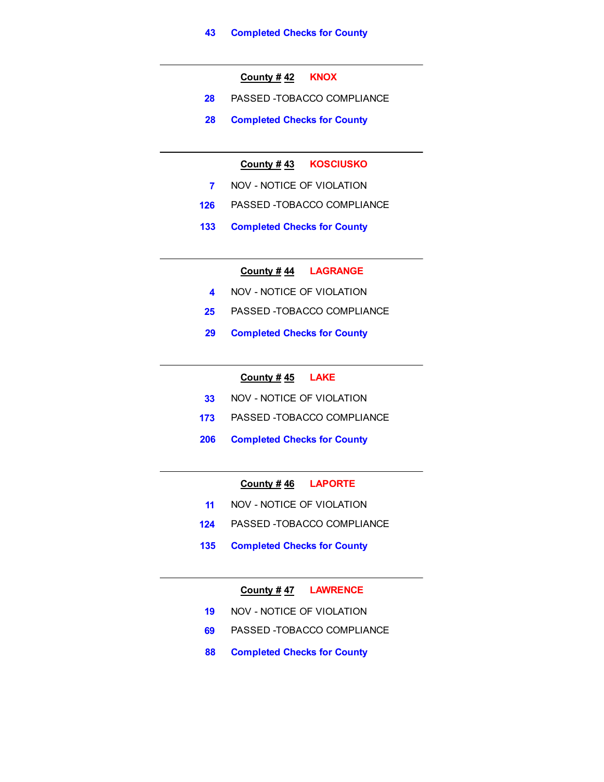## **County # 42 KNOX**

- **28** PASSED -TOBACCO COMPLIANCE
- **28 Completed Checks for County**

## **County # 43 KOSCIUSKO**

- **7** NOV NOTICE OF VIOLATION
- **126** PASSED -TOBACCO COMPLIANCE
- **133 Completed Checks for County**

## **County # 44 LAGRANGE**

- **4** NOV NOTICE OF VIOLATION
- **25** PASSED -TOBACCO COMPLIANCE
- **29 Completed Checks for County**

#### **County # 45 LAKE**

- **33** NOV NOTICE OF VIOLATION
- **173** PASSED -TOBACCO COMPLIANCE
- **206 Completed Checks for County**

## **County # 46 LAPORTE**

- **11** NOV NOTICE OF VIOLATION
- **124** PASSED -TOBACCO COMPLIANCE
- **135 Completed Checks for County**

## **County # 47 LAWRENCE**

- **19** NOV NOTICE OF VIOLATION
- **69** PASSED -TOBACCO COMPLIANCE
- **88 Completed Checks for County**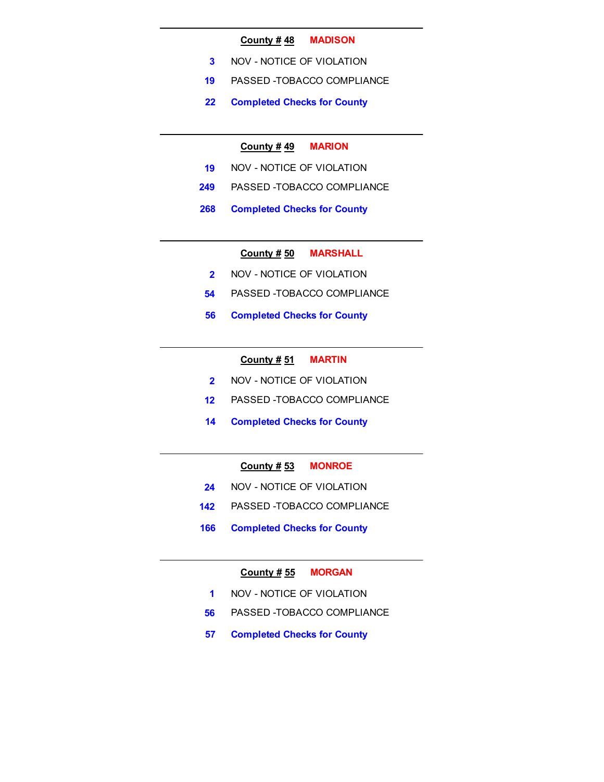#### **County # 48 MADISON**

- **3** NOV NOTICE OF VIOLATION
- **19** PASSED -TOBACCO COMPLIANCE
- **22 Completed Checks for County**

#### **County # 49 MARION**

- **19** NOV NOTICE OF VIOLATION
- **249** PASSED -TOBACCO COMPLIANCE
- **268 Completed Checks for County**

## **County # 50 MARSHALL**

- **2** NOV NOTICE OF VIOLATION
- **54** PASSED -TOBACCO COMPLIANCE
- **56 Completed Checks for County**

## **County # 51 MARTIN**

- **2** NOV NOTICE OF VIOLATION
- **12** PASSED -TOBACCO COMPLIANCE
- **14 Completed Checks for County**

## **County # 53 MONROE**

- **24** NOV NOTICE OF VIOLATION
- **142** PASSED -TOBACCO COMPLIANCE
- **166 Completed Checks for County**

#### **County # 55 MORGAN**

- **1** NOV NOTICE OF VIOLATION
- **56** PASSED -TOBACCO COMPLIANCE
- **57 Completed Checks for County**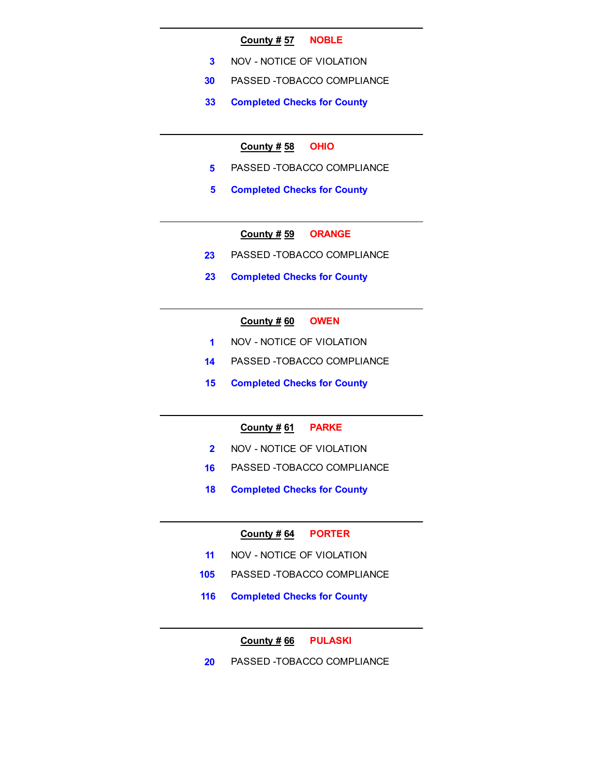#### **County # 57 NOBLE**

- **3** NOV NOTICE OF VIOLATION
- **30** PASSED -TOBACCO COMPLIANCE
- **33 Completed Checks for County**

## **County # 58 OHIO**

- **5** PASSED -TOBACCO COMPLIANCE
- **5 Completed Checks for County**

## **County # 59 ORANGE**

- **23** PASSED -TOBACCO COMPLIANCE
- **23 Completed Checks for County**

## **County # 60 OWEN**

- **1** NOV NOTICE OF VIOLATION
- **14** PASSED -TOBACCO COMPLIANCE
- **15 Completed Checks for County**

#### **County # 61 PARKE**

- **2** NOV NOTICE OF VIOLATION
- **16** PASSED -TOBACCO COMPLIANCE
- **18 Completed Checks for County**

#### **County # 64 PORTER**

- **11** NOV NOTICE OF VIOLATION
- **105** PASSED -TOBACCO COMPLIANCE
- **116 Completed Checks for County**

## **County # 66 PULASKI**

**20** PASSED -TOBACCO COMPLIANCE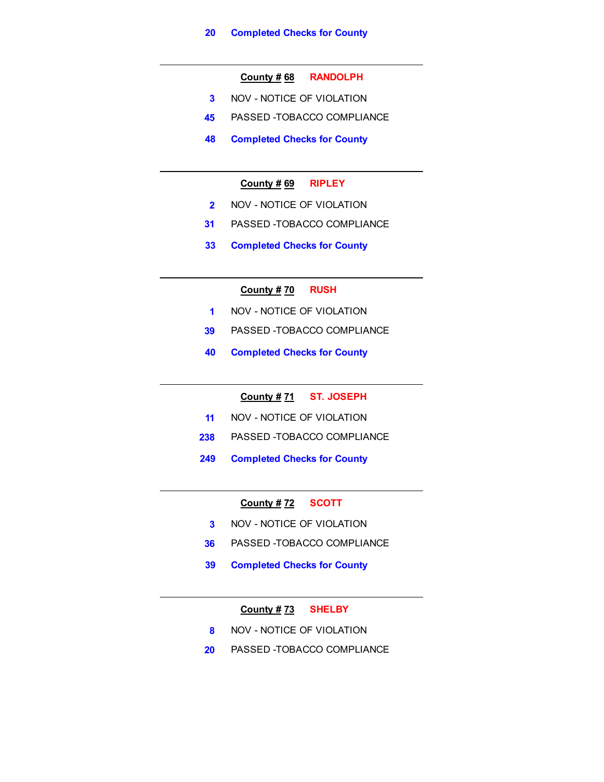## **County # 68 RANDOLPH**

- **3** NOV NOTICE OF VIOLATION
- **45** PASSED -TOBACCO COMPLIANCE
- **48 Completed Checks for County**

## **County # 69 RIPLEY**

- **2** NOV NOTICE OF VIOLATION
- **31** PASSED -TOBACCO COMPLIANCE
- **33 Completed Checks for County**

## **County # 70 RUSH**

- **1** NOV NOTICE OF VIOLATION
- **39** PASSED -TOBACCO COMPLIANCE
- **40 Completed Checks for County**

## **County # 71 ST. JOSEPH**

- **11** NOV NOTICE OF VIOLATION
- **238** PASSED -TOBACCO COMPLIANCE
- **249 Completed Checks for County**

## **County # 72 SCOTT**

- **3** NOV NOTICE OF VIOLATION
- **36** PASSED -TOBACCO COMPLIANCE
- **39 Completed Checks for County**

## **County # 73 SHELBY**

- **8** NOV NOTICE OF VIOLATION
- **20** PASSED -TOBACCO COMPLIANCE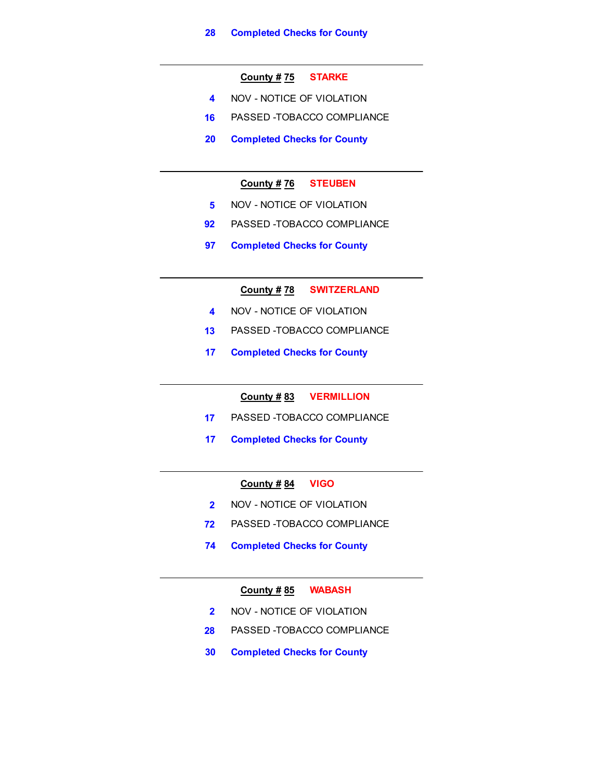## **County # 75 STARKE**

- **4** NOV NOTICE OF VIOLATION
- **16** PASSED -TOBACCO COMPLIANCE
- **20 Completed Checks for County**

## **County # 76 STEUBEN**

- **5** NOV NOTICE OF VIOLATION
- **92** PASSED -TOBACCO COMPLIANCE
- **97 Completed Checks for County**

**County # 78 SWITZERLAND**

- **4** NOV NOTICE OF VIOLATION
- **13** PASSED -TOBACCO COMPLIANCE
- **17 Completed Checks for County**

## **County # 83 VERMILLION**

- **17** PASSED -TOBACCO COMPLIANCE
- **17 Completed Checks for County**

## **County # 84 VIGO**

- **2** NOV NOTICE OF VIOLATION
- **72** PASSED -TOBACCO COMPLIANCE
- **74 Completed Checks for County**

## **County # 85 WABASH**

- **2** NOV NOTICE OF VIOLATION
- **28** PASSED -TOBACCO COMPLIANCE
- **30 Completed Checks for County**